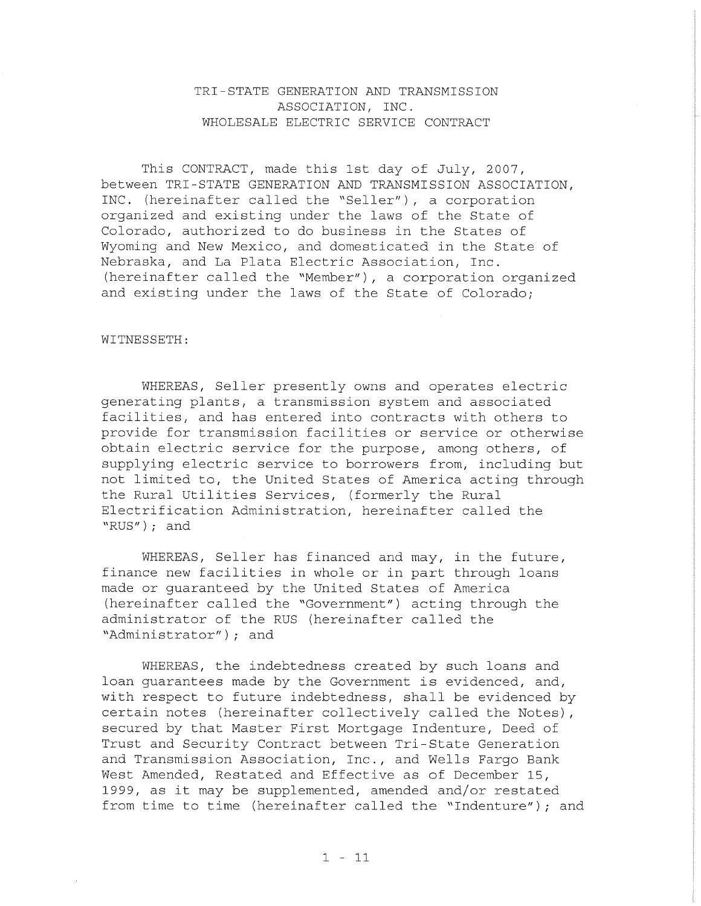## TRI-STATE GENERATION AND TRANSMISSION ASSOCIATION, INC. WHOLESALE ELECTRIC SERVICE CONTRACT

This CONTRACT, made this 1st day of July, 2007, between TRI-STATE GENERATION AND TRANSMISSION ASSOCIATION, INC. (hereinafter called the "Seller"), a corporation organized and existing under the laws of the State of Colorado, authorized to do business in the States of Wyoming and New Mexico, and domesticated in the State of Nebraska, and La Plata Electric Association, Inc. (hereinafter called the "Member"), <sup>a</sup> corporation organized and existing under the laws of the State of Colorado;

## WITNESSETH:

WHEREAS, Seller presently owns and operates electric generating plants, a transmission system and associated facilities, and has entered into contracts with others to provide for transmission facilities or service or otherwise obtain electric service for the purpose, among others, of supplying electric service to borrowers from, including but not limited to, the United States of America acting through the Rural Utilities Services, (formerly the Rural Electrification Administration, hereinafter called the "RUS") *<sup>i</sup>* and

WHEREAS, Seller has financed and may, in the future, finance new facilities in whole or in part through loans made or guaranteed by the United States of America (hereinafter called the "Government") acting through the administrator of the RUS (hereinafter called the "Administrator") *<sup>i</sup>* and

WHEREAS, the indebtedness created by such loans and loan guarantees made by the Government is evidenced, and, with respect to future indebtedness, shall be evidenced by certain notes (hereinafter collectively called the Notes) , secured by that Master First Mortgage Indenture, Deed of Trust and Security Contract between Tri-State Generation and Transmission Association, Inc., and Wells Fargo Bank West Amended, Restated and Effective as of December 15, 1999, as it may be supplemented, amended and/or restated from time to time (hereinafter called the "Indenture") *<sup>i</sup>* and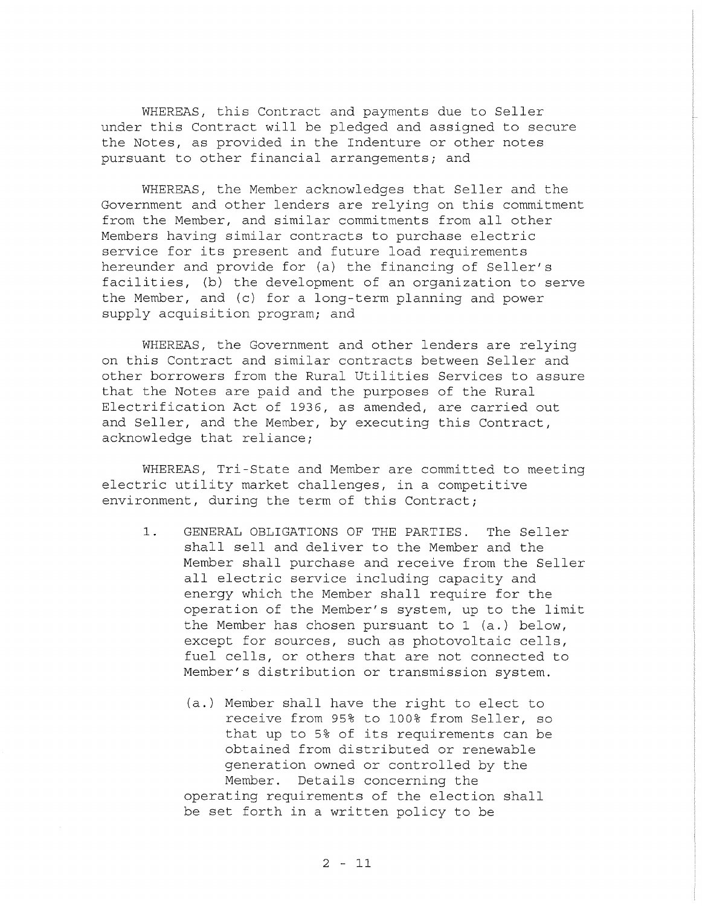WHEREAS, this Contract and payments due to Seller under this Contract will be pledged and assigned to secure the Notes, as provided in the Indenture or other notes pursuant to other financial arrangements; and

WHEREAS, the Member acknowledges that Seller and the Government and other lenders are relying on this commitment from the Member, and similar commitments from all other Members having similar contracts to purchase electric service for its present and future load requirements hereunder and provide for (a) the financing of Seller's facilities, (b) the development of an organization to serve the Member, and (c) for a long-term planning and power supply acquisition *programi* and

WHEREAS, the Government and other lenders are relying on this Contract and similar contracts between Seller and other borrowers from the Rural Utilities Services to assure that the Notes are paid and the purposes of the Rural Electrification Act of 1936, as amended, are carried out and Seller, and the Member, by executing this Contract, acknowledge that reliance;

WHEREAS, Tri-State and Member are committed to meeting electric utility market challenges, in <sup>a</sup> competitive environment, during the term of this Contract;

- **1.** GENERAL OBLIGATIONS OF THE PARTIES. The Seller shall sell and deliver to the Member and the Member shall purchase and receive from the Seller all electric service including capacity and energy which the Member shall require for the operation of the Member's system, up to the limit the Member has chosen pursuant to 1 (a.) below, except for sources, such as photovoltaic cells, fuel cells, or others that are not connected to Member's distribution or transmission system.
	- (a.) Member shall have the right to elect to receive from 95% to 100% from Seller, so that up to 5% of its requirements can be obtained from distributed or renewable generation owned or controlled by the Member. Details concerning the operating requirements of the election shall be set forth in a written policy to be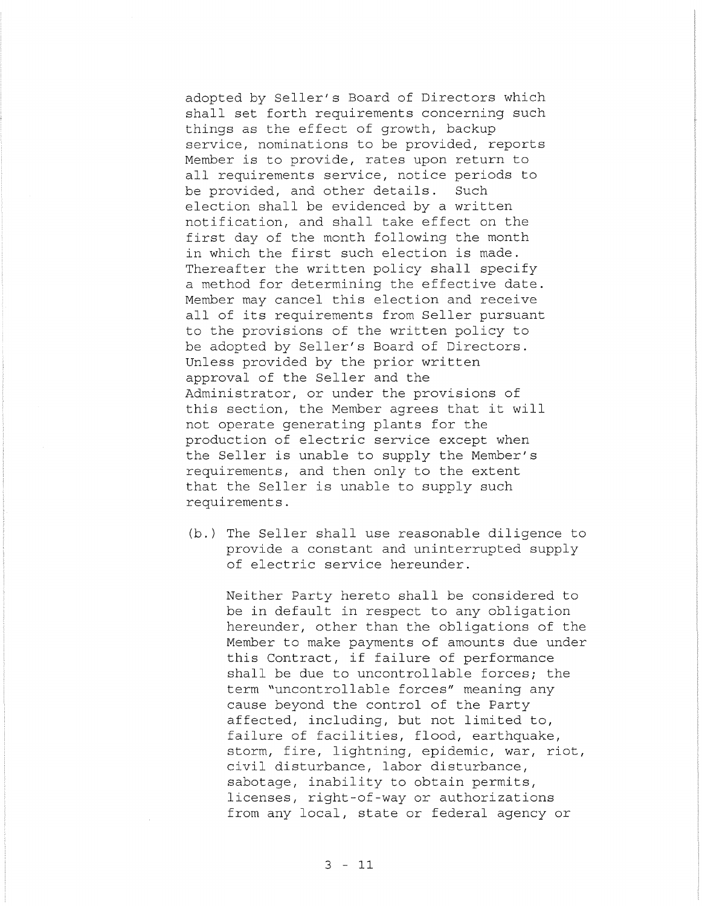adopted by Seller's Board of Directors which shall set forth requirements concerning such things as the effect of growth, backup service, nominations to be provided, reports Member is to provide, rates upon return to all requirements service, notice periods to be provided, and other details. Such election shall be evidenced by a written notification, and shall take effect on the first day of the month following the month in which the first such election is made. Thereafter the written policy shall specify <sup>a</sup> method for determining the effective date. Member may cancel this election and receive all of its requirements from Seller pursuant to the provisions of the written policy to be adopted by Seller's Board of Directors. Unless provided by the prior written approval of the Seller and the Administrator, or under the provisions of this section, the Member agrees that it will not operate generating plants for the production of electric service except when the Seller is unable to supply the Member's requirements, and then only to the extent that the Seller is unable to supply such requirements.

(b.) The Seller shall use reasonable diligence to provide a constant and uninterrupted supply of electric service hereunder.

Neither Party hereto shall be considered to be in default in respect to any obligation hereunder, other than the obligations of the Member to make payments of amounts due under this Contract, if failure of performance shall be due to uncontrollable forces; the term "uncontrollable forces" meaning any cause beyond the control of the Party affected, including, but not limited to, failure of facilities, flood, earthquake, storm, fire, lightning, epidemic, war, riot, civil disturbance, labor disturbance, sabotage, inability to obtain permits, licenses, right-of-way or authorizations from any local, state or federal agency or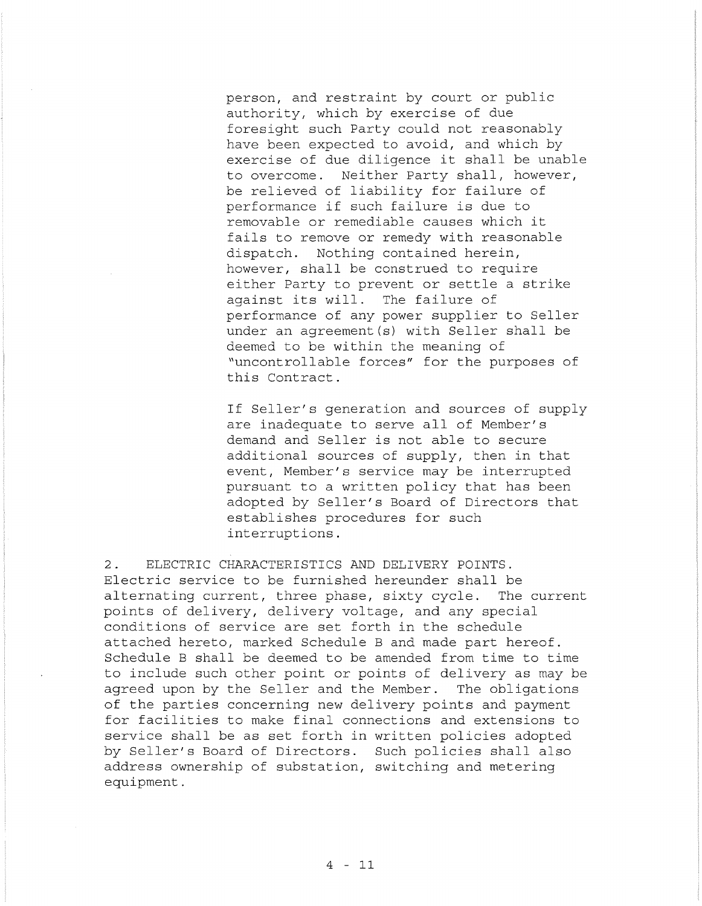person, and restraint by court or public authority, which by exercise of due foresight such Party could not reasonably have been expected to avoid, and which by exercise of due diligence it shall be unable to overcome. Neither Party shall, however, be relieved of liability for failure of performance if such failure is due to removable or remediable causes which it fails to remove or remedy with reasonable dispatch. Nothing contained herein, however, shall be construed to require either Party to prevent or settle <sup>a</sup> strike against its will. The failure of performance of any power supplier to Seller under an agreement(s) with Seller shall be deemed to be within the meaning of "uncontrollable forces" for the purposes of this Contract.

If Seller's generation and sources of supply are inadequate to serve all of Member's demand and Seller is not able to secure additional sources of supply, then in that event, Member's service may be interrupted pursuant to a written policy that has been adopted by Seller's Board of Directors that establishes procedures for such interruptions.

**2.** ELECTRIC CHARACTERISTICS AND DELIVERY POINTS. Electric service to be furnished hereunder shall be alternating current, three phase, sixty cycle. The current points of delivery, delivery voltage, and any special conditions of service are set forth in the schedule attached hereto, marked Schedule B and made part hereof. Schedule B shall be deemed to be amended from time to time to include such other point or points of delivery as may be agreed upon by the Seller and the Member. The obligations of the parties concerning new delivery points and payment for facilities to make final connections and extensions to service shall be as set forth in written policies adopted by Seller's Board of Directors. Such policies shall also address ownership of substation, switching and metering equipment.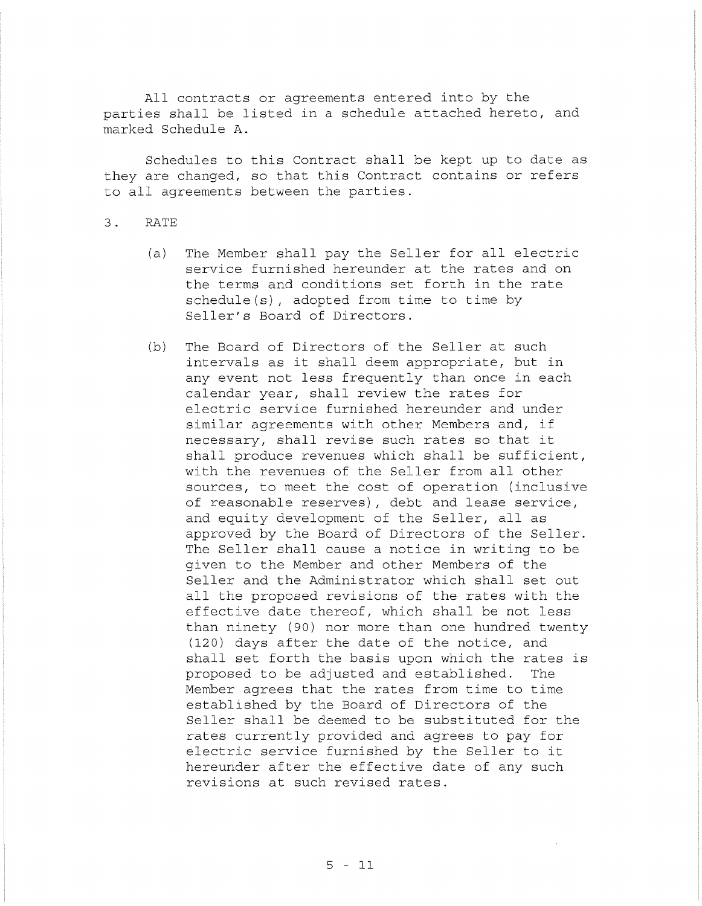All contracts or agreements entered into by the parties shall be listed in <sup>a</sup> schedule attached hereto, and marked Schedule **A.**

Schedules to this Contract shall be kept up to date as they are changed, so that this Contract contains or refers to all agreements between the parties.

## **3.** RATE

- (a) The Member shall pay the Seller for all electric service furnished hereunder at the rates and on the terms and conditions set forth in the rate schedule(s), adopted from time to time by Seller's Board of Directors.
- (b) The Board of Directors of the Seller at such intervals as it shall deem appropriate, but in any event not less frequently than once in each calendar year, shall review the rates for electric service furnished hereunder and under similar agreements with other Members and, if necessary, shall revise such rates so that it shall produce revenues which shall be sufficient, with the revenues of the Seller from all other sources, to meet the cost of operation (inclusive of reasonable reserves), debt and lease service, and equity development of the Seller, all as approved by the Board of Directors of the Seller. The Seller shall cause <sup>a</sup> notice in writing to be given to the Member and other Members of the Seller and the Administrator which shall set out all the proposed revisions of the rates with the effective date thereof, which shall be not less than ninety (90) nor more than one hundred twenty (120) days after the date of the notice, and shall set forth the basis upon which the rates is proposed to be adjusted and established. The Member agrees that the rates from time to time established by the Board of Directors of the Seller shall be deemed to be substituted for the rates currently provided and agrees to pay for electric service furnished by the Seller to it hereunder after the effective date of any such revisions at such revised rates.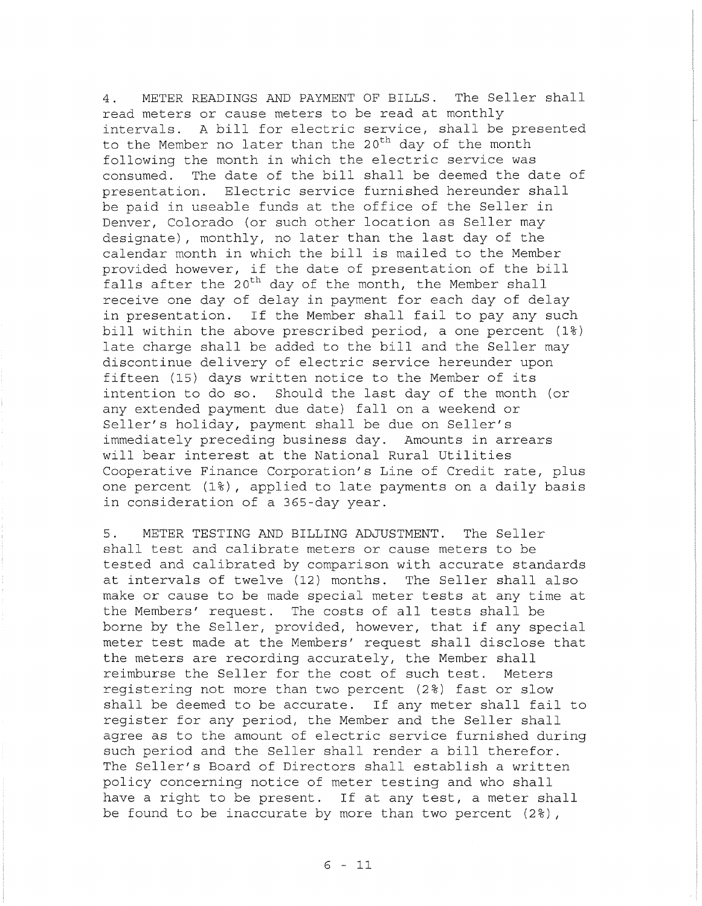4. METER READINGS AND PAYMENT OF BILLS. The Seller shall read meters or cause meters to be read at monthly intervals. <sup>A</sup> bill for electric service, shall be presented to the Member no later than the 20<sup>th</sup> day of the month following the month in which the electric service was consumed. The date of the bill shall be deemed the date of presentation. Electric service furnished hereunder shall be paid in useable funds at the office of the Seller in Denver, Colorado (or such other location as Seller may designate), monthly, no later than the last day of the calendar month in which the bill is mailed to the Member provided however, if the date of presentation of the bill falls after the 20<sup>th</sup> day of the month, the Member shall receive one day of delay in payment for each day of delay in presentation. If the Member shall fail to pay any such bill within the above prescribed period, <sup>a</sup> one percent (1%) late charge shall be added to the bill and the Seller may discontinue delivery of electric service hereunder upon fifteen (15) days written notice to the Member of its intention to do so. Should the last day of the month (or any extended payment due date) fall on a weekend or Seller's holiday, payment shall be due on Seller's immediately preceding business day. Amounts in arrears will bear interest at the National Rural Utilities Cooperative Finance Corporation's Line of Credit rate, plus one percent (1%), applied to late payments on <sup>a</sup> daily basis in consideration of a 365-day year.

5. METER TESTING AND BILLING ADJUSTMENT. The Seller shall test and calibrate meters or cause meters to be tested and calibrated by comparison with accurate standards at intervals of twelve (12) months. The Seller shall also make or cause to be made special meter tests at any time at the Members' request. The costs of all tests shall be borne by the Seller, provided, however, that if any special meter test made at the Members' request shall disclose that the meters are recording accurately, the Member shall reimburse the Seller for the cost of such test. Meters registering not more than two percent (2%) fast or slow shall be deemed to be accurate. If any meter shall fail to register for any period, the Member and the Seller shall agree as to the amount of electric service furnished during such period and the Seller shall render <sup>a</sup> bill therefor. The Seller's Board of Directors shall establish <sup>a</sup> written policy concerning notice of meter testing and who shall have <sup>a</sup> right to be present. If at any test, <sup>a</sup> meter shall be found to be inaccurate by more than two percent (2%),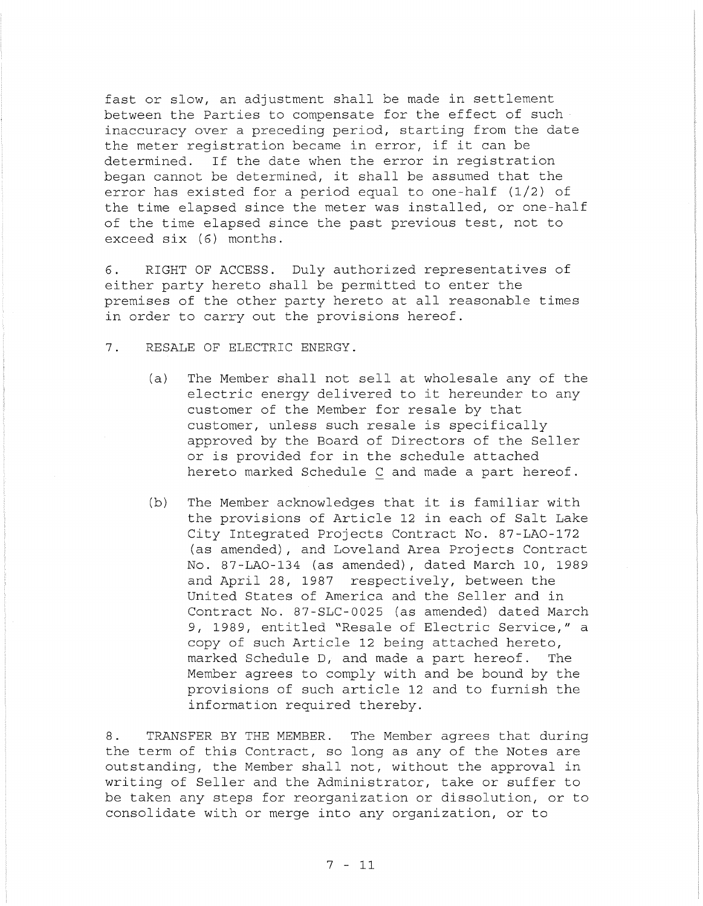fast or slow, an adjustment shall be made in settlement between the Parties to compensate for the effect of such inaccuracy over <sup>a</sup> preceding period, starting from the date the meter registration became in error, if it can be determined. If the date when the error in registration began cannot be determined, it shall be assumed that the error has existed for a period equal to one-half (1/2) of the time elapsed since the meter was installed, or one-half of the time elapsed since the past previous test, not to exceed six (6) months.

6. RIGHT OF ACCESS. Duly authorized representatives of either party hereto shall be permitted to enter the premises of the other party hereto at all reasonable times in order to carry out the provisions hereof.

- 7. RESALE OF ELECTRIC ENERGY.
	- (a) The Member shall not sell at wholesale any of the electric energy delivered to it hereunder to any customer of the Member for resale by that customer, unless such resale is specifically approved by the Board of Directors of the Seller or is provided for in the schedule attached hereto marked Schedule C and made a part hereof.
	- (b) The Member acknowledges that it is familiar with the provisions of Article 12 in each of Salt Lake City Integrated Projects Contract No. 87-LAO-172 (as amended), and Loveland Area Projects Contract No. 87-LAO-134 (as amended), dated March 10, 1989 and April 28, 1987 respectively, between the United States of America and the Seller and in Contract No. 87-SLC-0025 (as amended) dated March 9, 1989, entitled "Resale of Electric Service," <sup>a</sup> copy of such Article 12 being attached hereto, marked Schedule D, and made a part hereof. The Member agrees to comply with and be bound by the provisions of such article <sup>12</sup> and to furnish the information required thereby.

8. TRANSFER BY THE MEMBER. The Member agrees that during the term of this Contract, so long as any of the Notes are outstanding, the Member shall not, without the approval in writing of Seller and the Administrator, take or suffer to be taken any steps for reorganization or dissolution, or to consolidate with or merge into any organization, or to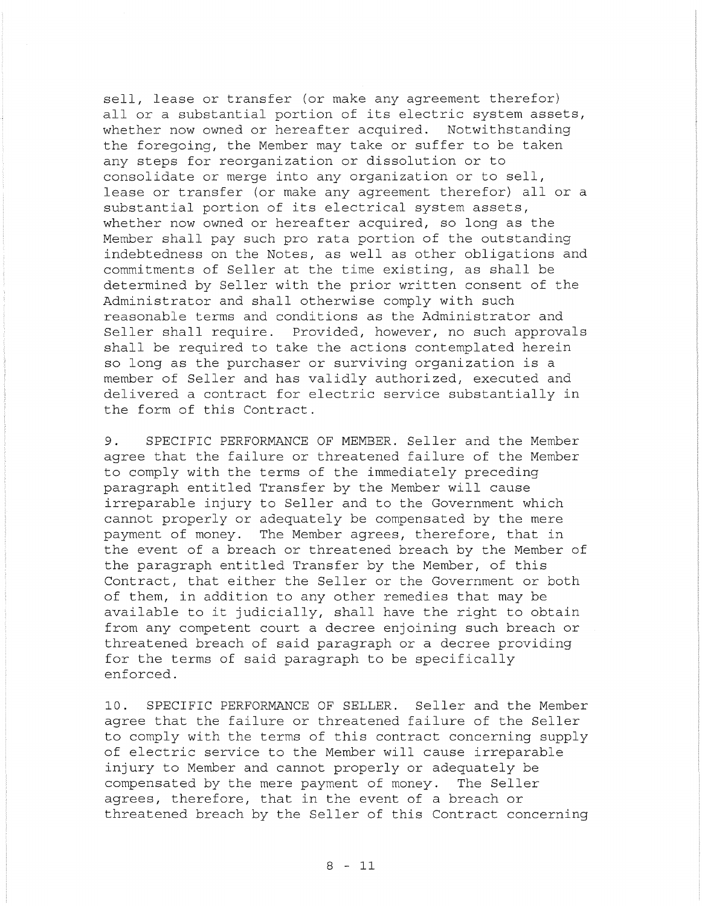sell, lease or transfer (or make any agreement therefor) all or <sup>a</sup> substantial portion of its electric system assets, whether now owned or hereafter acquired. Notwithstanding the foregoing, the Member may take or suffer to be taken any steps for reorganization or dissolution or to consolidate or merge into any organization or to sell, lease or transfer (or make any agreement therefor) all or <sup>a</sup> substantial portion of its electrical system assets, whether now owned or hereafter acquired, so long as the Member shall pay such pro rata portion of the outstanding indebtedness on the Notes, as well as other obligations and commitments of Seller at the time existing, as shall be determined by Seller with the prior written consent of the Administrator and shall otherwise comply with such reasonable terms and conditions as the Administrator and Seller shall require. Provided, however, no such approvals shall be required to take the actions contemplated herein so long as the purchaser or surviving organization is <sup>a</sup> member of Seller and has validly authorized, executed and delivered <sup>a</sup> contract for electric service substantially in the form of this Contract.

**9.** SPECIFIC PERFORMANCE OF MEMBER. Seller and the Member agree that the failure or threatened failure of the Member to comply with the terms of the immediately preceding paragraph entitled Transfer by the Member will cause irreparable injury to Seller and to the Government which cannot properly or adequately be compensated by the mere payment of money. The Member agrees, therefore, that in the event of a breach or threatened breach by the Member of the paragraph entitled Transfer by the Member, of this Contract, that either the Seller or the Government or both of them, in addition to any other remedies that may be available to it judicially, shall have the right to obtain from any competent court a decree enjoining such breach or threatened breach of said paragraph or a decree providing for the terms of said paragraph to be specifically enforced.

**10.** SPECIFIC PERFORMANCE OF SELLER. Seller and the Member agree that the failure or threatened failure of the Seller to comply with the terms of this contract concerning supply of electric service to the Member will cause irreparable injury to Member and cannot properly or adequately be compensated by the mere payment of money. The Seller agrees, therefore, that in the event of a breach or threatened breach by the Seller of this Contract concerning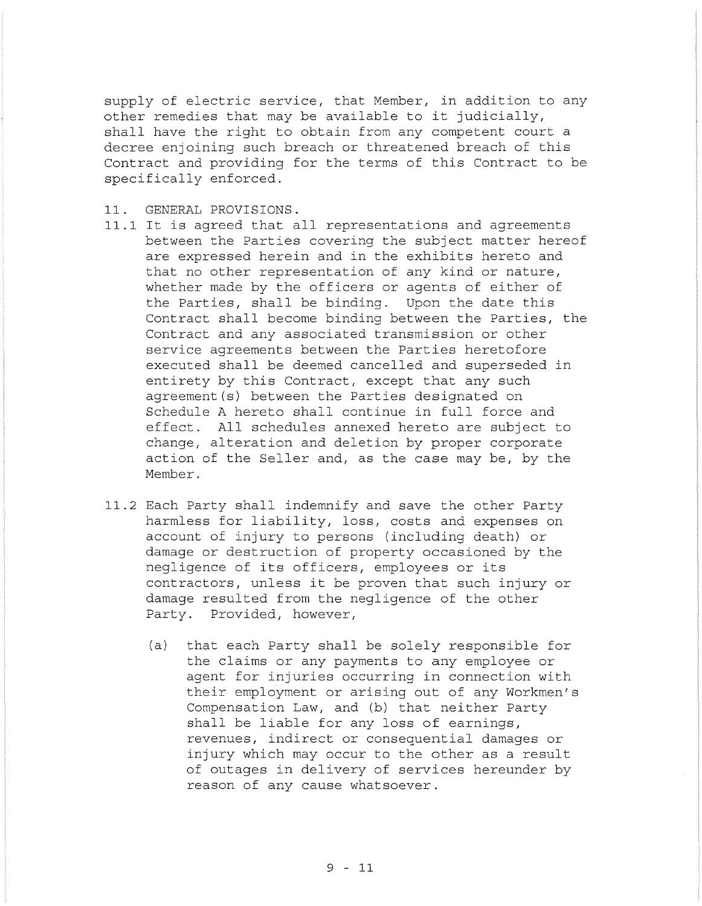supply of electric service, that Member, in addition to any other remedies that may be available to it judicially, shall have the right to obtain from any competent court <sup>a</sup> decree enjoining such breach or threatened breach of this Contract and providing for the terms of this Contract to be specifically enforced.

- 11. GENERAL PROVISIONS.
- 11.1 It is agreed that all representations and agreements between the Parties covering the subject matter hereof are expressed herein and in the exhibits hereto and that no other representation of any kind or nature, whether made by the officers or agents of either of the Parties, shall be binding. Upon the date this Contract shall become binding between the Parties, the Contract and any associated transmission or other service agreements between the Parties heretofore executed shall be deemed cancelled and superseded in entirety by this Contract, except that any such agreement(s) between the Parties designated on Schedule <sup>A</sup> hereto shall continue in full force and effect. All schedules annexed hereto are subject to change, alteration and deletion by proper corporate action of the Seller and, as the case may be, by the Member.
- 11.2 Each Party shall indemnify and save the other Party harmless for liability, loss, costs and expenses on account of injury to persons (including death) or damage or destruction of property occasioned by the negligence of its officers, employees or its contractors, unless it be proven that such injury or damage resulted from the negligence of the other Party. Provided, however,
	- (a) that each Party shall be solely responsible for the claims or any payments to any employee or agent for injuries occurring in connection with their employment or arising out of any Workmen's Compensation Law, and (b) that neither Party shall be liable for any loss of earnings, revenues, indirect or consequential damages or injury which may occur to the other as <sup>a</sup> result of outages in delivery of services hereunder by reason of any cause whatsoever.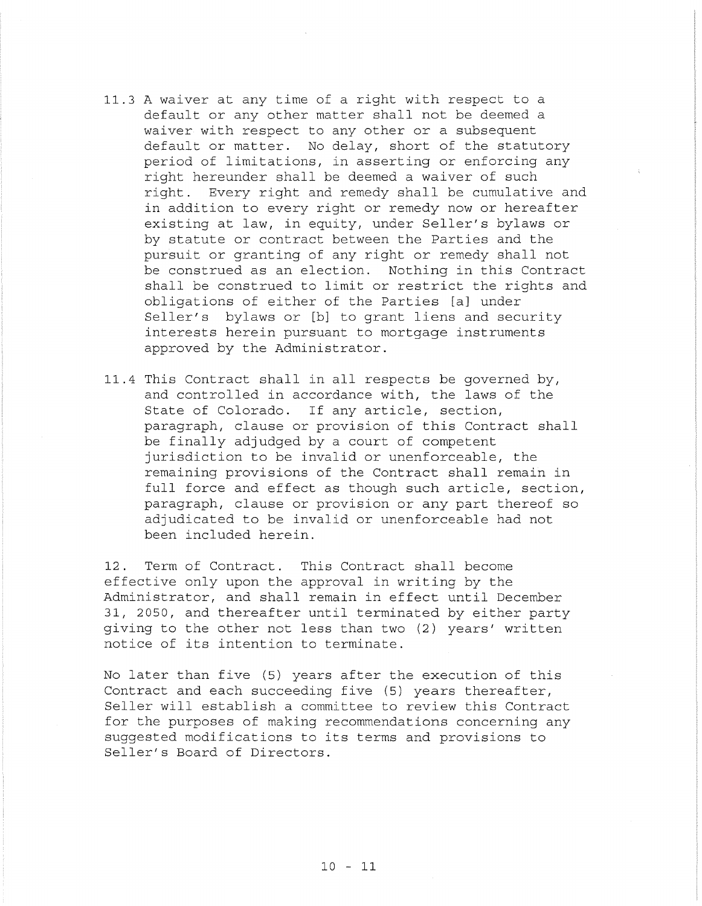- 11.3 <sup>A</sup> waiver at any time of <sup>a</sup> right with respect to <sup>a</sup> default or any other matter shall not be deemed a waiver with respect to any other or a subsequent default or matter. No delay, short of the statutory period of limitations, in asserting or enforcing any right hereunder shall be deemed a waiver of such right. Every right and remedy shall be cumulative and in addition to every right or remedy now or hereafter existing at law, in equity, under Seller's bylaws or by statute or contract between the Parties and the pursuit or granting of any right or remedy shall not be construed as an election. Nothing in this Contract shall be construed to limit or restrict the rights and obligations of either of the Parties [a] under Seller's bylaws or [b] to grant liens and security interests herein pursuant to mortgage instruments approved by the Administrator.
- 11.4 This Contract shall in all respects be governed by, and controlled in accordance with, the laws of the State of Colorado. If any article, section, paragraph, clause or provision of this Contract shall be finally adjudged by <sup>a</sup> court of competent jurisdiction to be invalid or unenforceable, the remaining provisions of the Contract shall remain in full force and effect as though such article, section, paragraph, clause or provision or any part thereof so adjudicated to be invalid or unenforceable had not been included herein.

12. Term of Contract. This Contract shall become effective only upon the approval in writing by the Administrator, and shall remain in effect until December 31, 2050, and thereafter until terminated by either party giving to the other not less than two (2) years' written notice of its intention to terminate.

No later than five (5) years after the execution of this Contract and each succeeding five (5) years thereafter, Seller will establish <sup>a</sup> committee to review this Contract for the purposes of making recommendations concerning any suggested modifications to its terms and provisions to Seller's Board of Directors.